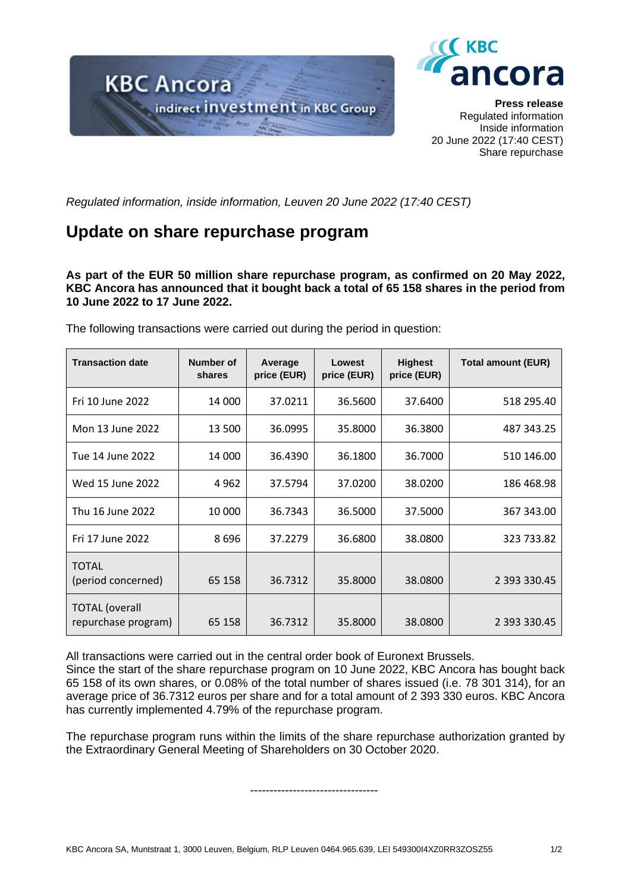



**Press release** Regulated information Inside information 20 June 2022 (17:40 CEST) Share repurchase

*Regulated information, inside information, Leuven 20 June 2022 (17:40 CEST)*

## **Update on share repurchase program**

**As part of the EUR 50 million share repurchase program, as confirmed on 20 May 2022, KBC Ancora has announced that it bought back a total of 65 158 shares in the period from 10 June 2022 to 17 June 2022.**

| <b>Transaction date</b>                      | Number of<br>shares | Average<br>price (EUR) | Lowest<br>price (EUR) | <b>Highest</b><br>price (EUR) | <b>Total amount (EUR)</b> |
|----------------------------------------------|---------------------|------------------------|-----------------------|-------------------------------|---------------------------|
| Fri 10 June 2022                             | 14 000              | 37.0211                | 36.5600               | 37.6400                       | 518 295.40                |
| Mon 13 June 2022                             | 13 500              | 36.0995                | 35.8000               | 36.3800                       | 487 343.25                |
| Tue 14 June 2022                             | 14 000              | 36.4390                | 36.1800               | 36.7000                       | 510 146.00                |
| Wed 15 June 2022                             | 4 962               | 37.5794                | 37.0200               | 38.0200                       | 186 468.98                |
| Thu 16 June 2022                             | 10 000              | 36.7343                | 36.5000               | 37.5000                       | 367 343.00                |
| Fri 17 June 2022                             | 8 696               | 37.2279                | 36.6800               | 38.0800                       | 323 733.82                |
| <b>TOTAL</b><br>(period concerned)           | 65 158              | 36.7312                | 35.8000               | 38.0800                       | 2 393 330.45              |
| <b>TOTAL</b> (overall<br>repurchase program) | 65 158              | 36.7312                | 35.8000               | 38.0800                       | 2 393 330.45              |

The following transactions were carried out during the period in question:

All transactions were carried out in the central order book of Euronext Brussels.

Since the start of the share repurchase program on 10 June 2022, KBC Ancora has bought back 65 158 of its own shares, or 0.08% of the total number of shares issued (i.e. 78 301 314), for an average price of 36.7312 euros per share and for a total amount of 2 393 330 euros. KBC Ancora has currently implemented 4.79% of the repurchase program.

The repurchase program runs within the limits of the share repurchase authorization granted by the Extraordinary General Meeting of Shareholders on 30 October 2020.

---------------------------------